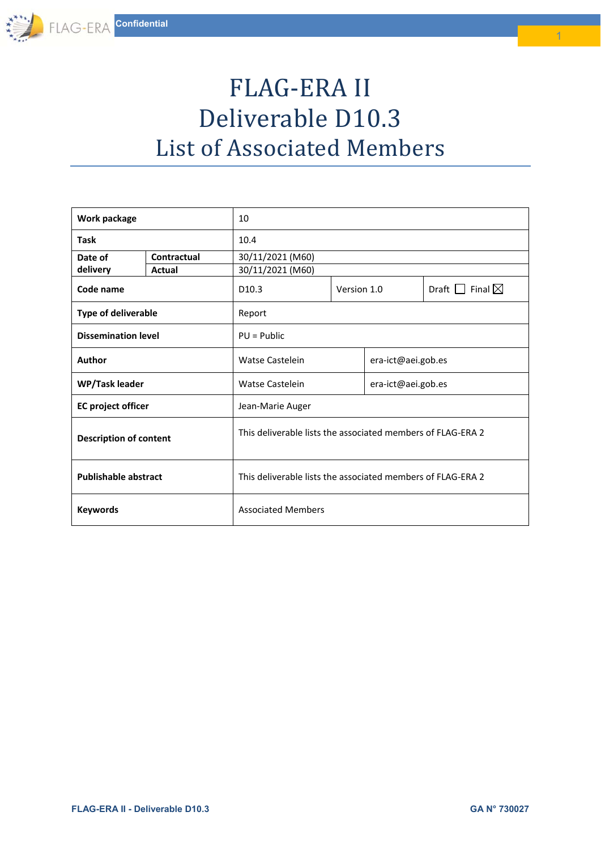## FLAG-ERA II Deliverable D10.3 List of Associated Members

| Work package                  |             | 10                                                          |             |                    |                                |  |
|-------------------------------|-------------|-------------------------------------------------------------|-------------|--------------------|--------------------------------|--|
| <b>Task</b>                   |             | 10.4                                                        |             |                    |                                |  |
| Date of                       | Contractual | 30/11/2021 (M60)                                            |             |                    |                                |  |
| delivery                      | Actual      | 30/11/2021 (M60)                                            |             |                    |                                |  |
| Code name                     |             | D <sub>10.3</sub>                                           | Version 1.0 |                    | Draft $\Box$ Final $\boxtimes$ |  |
| <b>Type of deliverable</b>    |             | Report                                                      |             |                    |                                |  |
| <b>Dissemination level</b>    |             | $PU = Public$                                               |             |                    |                                |  |
| Author                        |             | Watse Castelein                                             |             | era-ict@aei.gob.es |                                |  |
| WP/Task leader                |             | <b>Watse Castelein</b>                                      |             | era-ict@aei.gob.es |                                |  |
| <b>EC</b> project officer     |             | Jean-Marie Auger                                            |             |                    |                                |  |
| <b>Description of content</b> |             | This deliverable lists the associated members of FLAG-ERA 2 |             |                    |                                |  |
| <b>Publishable abstract</b>   |             | This deliverable lists the associated members of FLAG-ERA 2 |             |                    |                                |  |
| <b>Keywords</b>               |             | <b>Associated Members</b>                                   |             |                    |                                |  |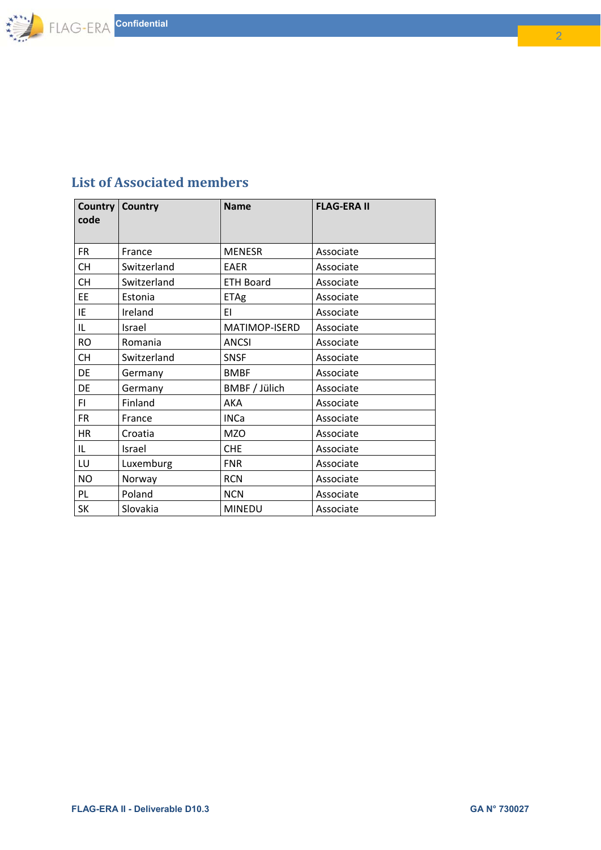

## **List of Associated members**

| code      | <b>Country Country</b> | <b>Name</b>      | <b>FLAG-ERA II</b> |
|-----------|------------------------|------------------|--------------------|
| <b>FR</b> | France                 | <b>MENESR</b>    | Associate          |
| <b>CH</b> | Switzerland            | <b>EAER</b>      | Associate          |
| <b>CH</b> | Switzerland            | <b>ETH Board</b> | Associate          |
| EE        | Estonia                | ETAg             | Associate          |
| IE        | Ireland                | ΕI               | Associate          |
| IL        | Israel                 | MATIMOP-ISERD    | Associate          |
| <b>RO</b> | Romania                | <b>ANCSI</b>     | Associate          |
| <b>CH</b> | Switzerland            | <b>SNSF</b>      | Associate          |
| DE        | Germany                | <b>BMBF</b>      | Associate          |
| DE        | Germany                | BMBF / Jülich    | Associate          |
| FI.       | Finland                | AKA              | Associate          |
| <b>FR</b> | France                 | <b>INCa</b>      | Associate          |
| <b>HR</b> | Croatia                | <b>MZO</b>       | Associate          |
| IL.       | Israel                 | <b>CHE</b>       | Associate          |
| LU        | Luxemburg              | <b>FNR</b>       | Associate          |
| <b>NO</b> | Norway                 | <b>RCN</b>       | Associate          |
| PL.       | Poland                 | <b>NCN</b>       | Associate          |
| SK        | Slovakia               | <b>MINEDU</b>    | Associate          |